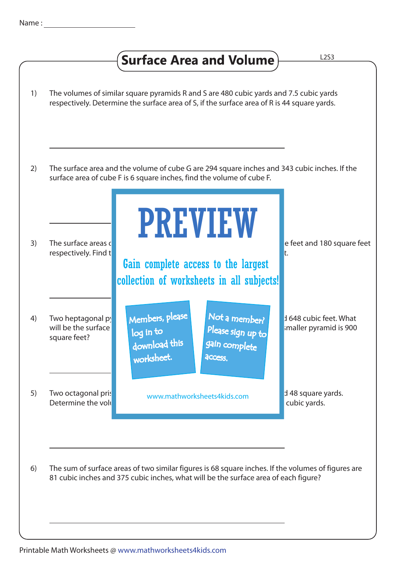## Surface Area and Volume L2S3 1) The volumes of similar square pyramids R and S are 480 cubic yards and 7.5 cubic yards respectively. Determine the surface area of S, if the surface area of R is 44 square yards. 2) The surface area and the volume of cube G are 294 square inches and 343 cubic inches. If the surface area of cube F is 6 square inches, find the volume of cube F. PREVIEW 3) The surface areas of similar pentagonal pentagonal prisms M and N are 61.25 square feet and 180 square feet respectively. Find the volume of N, if the volume of N, if the volume of M is 85.75 cubic feet. Gain complete access to the largest collection of worksheets in all subjects!Not a member? Two heptagonal py**oral with viewbers, please that Not a members** 1,648 cubic feet. What 4) Please sign up to will be the surface area of the larger pyramid, if the surface area of the smaller pyramid is 900 log in to square feet? download this gain complete worksheet. **access** 5) Two octagonal prise areas www.mathworksheets4kids.com **12 all 48 square yards.** Determine the volume of each prism, if the sum of the sum of the sum of the sum of the sum of the sum of the sum of the sum of the sum of the sum of the sum of the sum of the sum of the sum of the sum of the sum of the sum 6) The sum of surface areas of two similar figures is 68 square inches. If the volumes of figures are 81 cubic inches and 375 cubic inches, what will be the surface area of each figure?

Printable Math Worksheets @ www.mathworksheets4kids.com